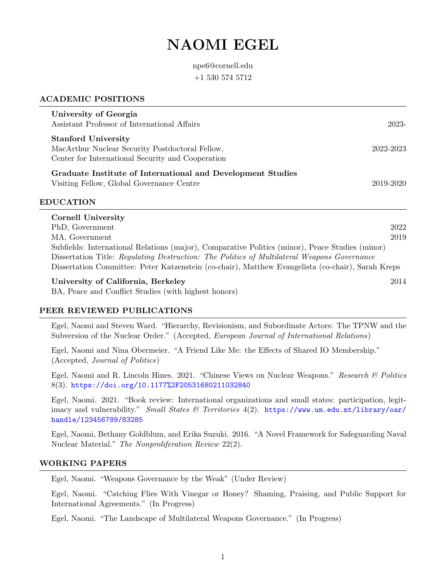# NAOMI EGEL

npe6@cornell.edu +1 530 574 5712

## ACADEMIC POSITIONS

| University of Georgia<br>Assistant Professor of International Affairs                                                              | 2023-        |
|------------------------------------------------------------------------------------------------------------------------------------|--------------|
| <b>Stanford University</b><br>MacArthur Nuclear Security Postdoctoral Fellow,<br>Center for International Security and Cooperation | 2022-2023    |
| Graduate Institute of International and Development Studies<br>Visiting Fellow, Global Governance Centre                           | 2019-2020    |
| <b>EDUCATION</b>                                                                                                                   |              |
| Cornell University<br>PhD, Government<br>MA, Government                                                                            | 2022<br>2019 |

Subfields: International Relations (major), Comparative Politics (minor), Peace Studies (minor) Dissertation Title: Regulating Destruction: The Politics of Multilateral Weapons Governance Dissertation Committee: Peter Katzenstein (co-chair), Matthew Evangelista (co-chair), Sarah Kreps

#### University of California, Berkeley 2014

BA, Peace and Conflict Studies (with highest honors)

## PEER REVIEWED PUBLICATIONS

Egel, Naomi and Steven Ward. "Hierarchy, Revisionism, and Subordinate Actors: The TPNW and the Subversion of the Nuclear Order." (Accepted, *European Journal of International Relations*)

Egel, Naomi and Nina Obermeier. "A Friend Like Me: the Effects of Shared IO Membership." (Accepted, Journal of Politics)

Egel, Naomi and R. Lincoln Hines. 2021. "Chinese Views on Nuclear Weapons." Research & Politics 8(3). <https://doi.org/10.1177%2F20531680211032840>

Egel, Naomi. 2021. "Book review: International organizations and small states: participation, legitimacy and vulnerability." Small States & Territories 4(2). [https://www.um.edu.mt/library/oar/](https://www.um.edu.mt/library/oar/handle/123456789/83285) [handle/123456789/83285](https://www.um.edu.mt/library/oar/handle/123456789/83285)

Egel, Naomi, Bethany Goldblum, and Erika Suzuki. 2016. "A Novel Framework for Safeguarding Naval Nuclear Material." The Nonproliferation Review 22(2).

#### WORKING PAPERS

Egel, Naomi. "Weapons Governance by the Weak" (Under Review)

Egel, Naomi. "Catching Flies With Vinegar or Honey? Shaming, Praising, and Public Support for International Agreements." (In Progress)

Egel, Naomi. "The Landscape of Multilateral Weapons Governance." (In Progress)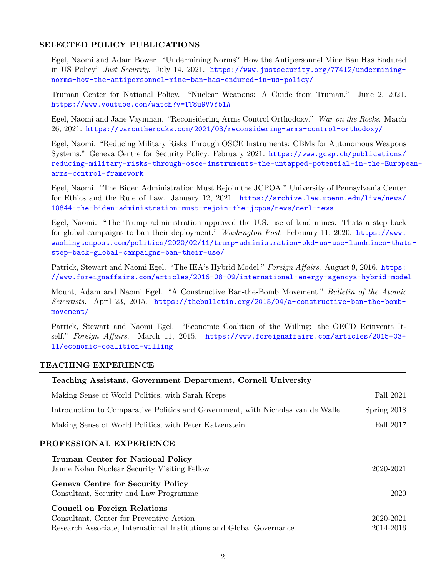## SELECTED POLICY PUBLICATIONS

Egel, Naomi and Adam Bower. "Undermining Norms? How the Antipersonnel Mine Ban Has Endured in US Policy" Just Security. July 14, 2021. [https://www.justsecurity.org/77412/undermining](https://www.justsecurity.org/77412/undermining-norms-how-the-antipersonnel-mine-ban-has-endured-in-us-policy/)[norms-how-the-antipersonnel-mine-ban-has-endured-in-us-policy/](https://www.justsecurity.org/77412/undermining-norms-how-the-antipersonnel-mine-ban-has-endured-in-us-policy/)

Truman Center for National Policy. "Nuclear Weapons: A Guide from Truman." June 2, 2021. <https://www.youtube.com/watch?v=TT8u9VVYb1A>

Egel, Naomi and Jane Vaynman. "Reconsidering Arms Control Orthodoxy." War on the Rocks. March 26, 2021. <https://warontherocks.com/2021/03/reconsidering-arms-control-orthodoxy/>

Egel, Naomi. "Reducing Military Risks Through OSCE Instruments: CBMs for Autonomous Weapons Systems." Geneva Centre for Security Policy. February 2021. [https://www.gcsp.ch/publications/](https://www.gcsp.ch/publications/reducing-military-risks-through-osce-instruments-the-untapped-potential-in-the-European-arms-control-framework) [reducing-military-risks-through-osce-instruments-the-untapped-potential-in-the-Europe](https://www.gcsp.ch/publications/reducing-military-risks-through-osce-instruments-the-untapped-potential-in-the-European-arms-control-framework)an[arms-control-framework](https://www.gcsp.ch/publications/reducing-military-risks-through-osce-instruments-the-untapped-potential-in-the-European-arms-control-framework)

Egel, Naomi. "The Biden Administration Must Rejoin the JCPOA." University of Pennsylvania Center for Ethics and the Rule of Law. January 12, 2021. [https://archive.law.upenn.edu/live/news/](https://archive.law.upenn.edu/live/news/10844-the-biden-administration-must-rejoin-the-jcpoa/news/cerl-news) [10844-the-biden-administration-must-rejoin-the-jcpoa/news/cerl-news](https://archive.law.upenn.edu/live/news/10844-the-biden-administration-must-rejoin-the-jcpoa/news/cerl-news)

Egel, Naomi. "The Trump administration approved the U.S. use of land mines. Thats a step back for global campaigns to ban their deployment." Washington Post. February 11, 2020. [https://www.](https://www.washingtonpost.com/politics/2020/02/11/trump-administration-okd-us-use-landmines-thats-step-back-global-campaigns-ban-their-use/) [washingtonpost.com/politics/2020/02/11/trump-administration-okd-us-use-landmines-that](https://www.washingtonpost.com/politics/2020/02/11/trump-administration-okd-us-use-landmines-thats-step-back-global-campaigns-ban-their-use/)s[step-back-global-campaigns-ban-their-use/](https://www.washingtonpost.com/politics/2020/02/11/trump-administration-okd-us-use-landmines-thats-step-back-global-campaigns-ban-their-use/)

Patrick, Stewart and Naomi Egel. "The IEA's Hybrid Model." Foreign Affairs. August 9, 2016. [https:](https://www.foreignaffairs.com/articles/2016-08-09/international-energy-agencys-hybrid-model) [//www.foreignaffairs.com/articles/2016-08-09/international-energy-agencys-hybrid-model](https://www.foreignaffairs.com/articles/2016-08-09/international-energy-agencys-hybrid-model)

Mount, Adam and Naomi Egel. "A Constructive Ban-the-Bomb Movement." Bulletin of the Atomic Scientists. April 23, 2015. [https://thebulletin.org/2015/04/a-constructive-ban-the-bomb](https://thebulletin.org/2015/04/a-constructive-ban-the-bomb-movement/)[movement/](https://thebulletin.org/2015/04/a-constructive-ban-the-bomb-movement/)

Patrick, Stewart and Naomi Egel. "Economic Coalition of the Willing: the OECD Reinvents Itself." Foreign Affairs. March 11, 2015. [https://www.foreignaffairs.com/articles/2015-03-](https://www.foreignaffairs.com/articles/2015-03-11/economic-coalition-willing) [11/economic-coalition-willing](https://www.foreignaffairs.com/articles/2015-03-11/economic-coalition-willing)

## TEACHING EXPERIENCE

| Teaching Assistant, Government Department, Cornell University                            |               |
|------------------------------------------------------------------------------------------|---------------|
| Making Sense of World Politics, with Sarah Kreps                                         | Fall 2021     |
| Introduction to Comparative Politics and Government, with Nicholas van de Walle          | Spring $2018$ |
| Making Sense of World Politics, with Peter Katzenstein                                   | Fall 2017     |
| PROFESSIONAL EXPERIENCE                                                                  |               |
| <b>Truman Center for National Policy</b><br>Janne Nolan Nuclear Security Visiting Fellow | 2020-2021     |
| Conous Contro for Socurity Dollar                                                        |               |

Geneva Centre for Security Policy Consultant, Security and Law Programme 2020

| <b>Council on Foreign Relations</b>                                  |           |
|----------------------------------------------------------------------|-----------|
| Consultant, Center for Preventive Action                             | 2020-2021 |
| Research Associate, International Institutions and Global Governance | 2014-2016 |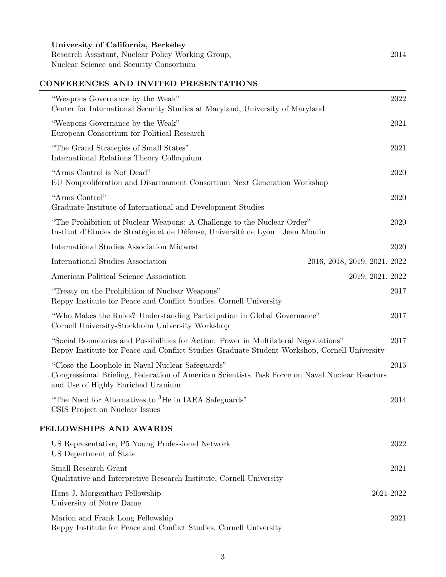Research Assistant, Nuclear Policy Working Group, 2014 Nuclear Science and Security Consortium

# CONFERENCES AND INVITED PRESENTATIONS

| "Weapons Governance by the Weak"<br>Center for International Security Studies at Maryland, University of Maryland                                                                        | 2022 |
|------------------------------------------------------------------------------------------------------------------------------------------------------------------------------------------|------|
| "Weapons Governance by the Weak"<br>European Consortium for Political Research                                                                                                           | 2021 |
| "The Grand Strategies of Small States"<br>International Relations Theory Colloquium                                                                                                      | 2021 |
| "Arms Control is Not Dead"<br>EU Nonproliferation and Disarmament Consortium Next Generation Workshop                                                                                    | 2020 |
| "Arms Control"<br>Graduate Institute of International and Development Studies                                                                                                            | 2020 |
| "The Prohibition of Nuclear Weapons: A Challenge to the Nuclear Order"<br>Institut d'Études de Stratégie et de Défense, Université de Lyon—Jean Moulin                                   | 2020 |
| International Studies Association Midwest                                                                                                                                                | 2020 |
| International Studies Association<br>2016, 2018, 2019, 2021, 2022                                                                                                                        |      |
| American Political Science Association<br>2019, 2021, 2022                                                                                                                               |      |
| "Treaty on the Prohibition of Nuclear Weapons"<br>Reppy Institute for Peace and Conflict Studies, Cornell University                                                                     | 2017 |
| "Who Makes the Rules? Understanding Participation in Global Governance"<br>Cornell University-Stockholm University Workshop                                                              | 2017 |
| "Social Boundaries and Possibilities for Action: Power in Multilateral Negotiations"<br>Reppy Institute for Peace and Conflict Studies Graduate Student Workshop, Cornell University     | 2017 |
| "Close the Loophole in Naval Nuclear Safeguards"<br>Congressional Briefing, Federation of American Scientists Task Force on Naval Nuclear Reactors<br>and Use of Highly Enriched Uranium | 2015 |
| "The Need for Alternatives to <sup>3</sup> He in IAEA Safeguards"<br>CSIS Project on Nuclear Issues                                                                                      | 2014 |
| FELLOWSHIPS AND AWARDS                                                                                                                                                                   |      |
| US Representative, P5 Young Professional Network<br>US Department of State                                                                                                               | 2022 |
| Small Research Grant<br>Qualitative and Interpretive Research Institute, Cornell University                                                                                              | 2021 |
|                                                                                                                                                                                          |      |

Hans J. Morgenthau Fellowship 2021-2022 University of Notre Dame

Marion and Frank Long Fellowship 2021 Reppy Institute for Peace and Conflict Studies, Cornell University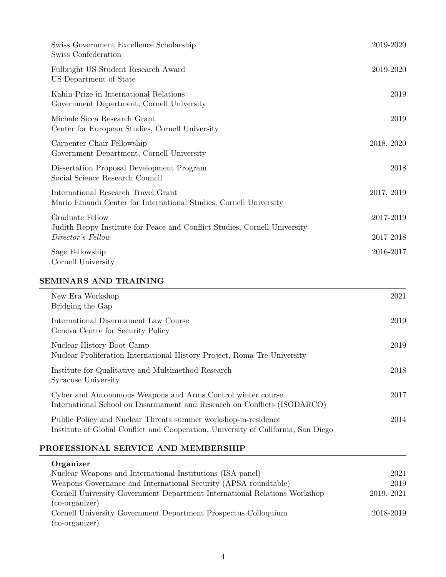| Swiss Government Excellence Scholarship<br>Swiss Confederation                                            | 2019-2020  |
|-----------------------------------------------------------------------------------------------------------|------------|
| Fulbright US Student Research Award<br>US Department of State                                             | 2019-2020  |
| Kahin Prize in International Relations<br>Government Department, Cornell University                       | 2019       |
| Michale Sicca Research Grant<br>Center for European Studies, Cornell University                           | 2019       |
| Carpenter Chair Fellowship<br>Government Department, Cornell University                                   | 2018, 2020 |
| Dissertation Proposal Development Program<br>Social Science Research Council                              | 2018       |
| International Research Travel Grant<br>Mario Einaudi Center for International Studies, Cornell University | 2017, 2019 |
| Graduate Fellow                                                                                           | 2017-2019  |
| Judith Reppy Institute for Peace and Conflict Studies, Cornell University<br>Director's Fellow            | 2017-2018  |
| Sage Fellowship<br>Cornell University                                                                     | 2016-2017  |

# SEMINARS AND TRAINING

| New Era Workshop<br>Bridging the Gap                                                                                                                | 2021 |
|-----------------------------------------------------------------------------------------------------------------------------------------------------|------|
| International Disarmament Law Course<br>Geneva Centre for Security Policy                                                                           | 2019 |
| Nuclear History Boot Camp<br>Nuclear Proliferation International History Project, Roma Tre University                                               | 2019 |
| Institute for Qualitative and Multimethod Research<br>Syracuse University                                                                           | 2018 |
| Cyber and Autonomous Weapons and Arms Control winter course<br>International School on Disarmament and Research on Conflicts (ISODARCO)             | 2017 |
| Public Policy and Nuclear Threats summer workshop-in-residence<br>Institute of Global Conflict and Cooperation, University of California, San Diego | 2014 |

# PROFESSIONAL SERVICE AND MEMBERSHIP

| Organizer                                                                 |            |
|---------------------------------------------------------------------------|------------|
| Nuclear Weapons and International Institutions (ISA panel)                | 2021       |
| Weapons Governance and International Security (APSA roundtable)           | 2019       |
| Cornell University Government Department International Relations Workshop | 2019, 2021 |
| (co-organizer)                                                            |            |
| Cornell University Government Department Prospectus Colloquium            | 2018-2019  |
| $(co-organizer)$                                                          |            |